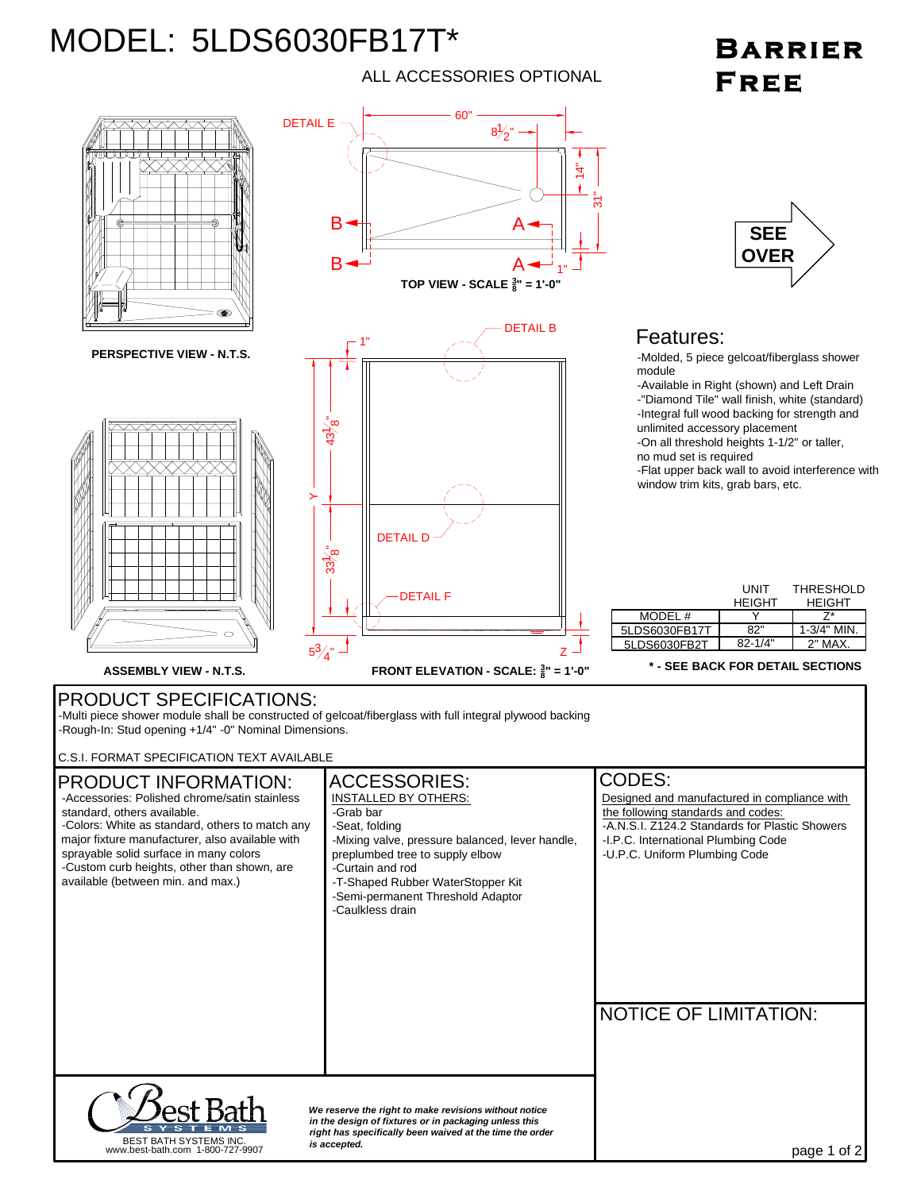## MODEL: 5LDS6030FB17T\*

## ALL ACCESSORIES OPTIONAL

## **BARRIER FREE**